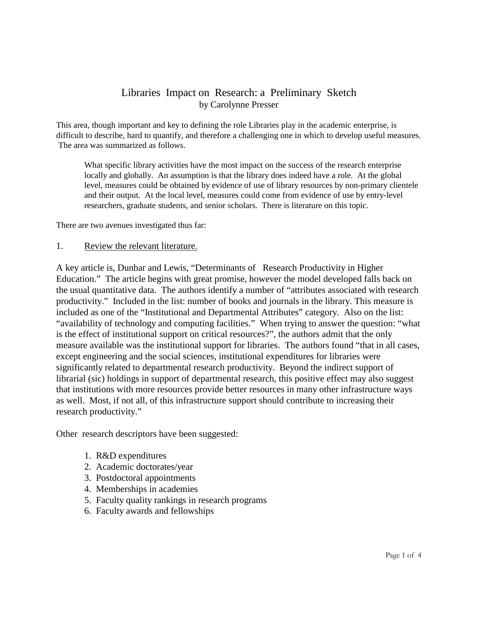## Libraries Impact on Research: a Preliminary Sketch by Carolynne Presser

This area, though important and key to defining the role Libraries play in the academic enterprise, is difficult to describe, hard to quantify, and therefore a challenging one in which to develop useful measures. The area was summarized as follows.

What specific library activities have the most impact on the success of the research enterprise locally and globally. An assumption is that the library does indeed have a role. At the global level, measures could be obtained by evidence of use of library resources by non-primary clientele and their output. At the local level, measures could come from evidence of use by entry-level researchers, graduate students, and senior scholars. There is literature on this topic.

There are two avenues investigated thus far:

## 1. Review the relevant literature.

A key article is, Dunbar and Lewis, "Determinants of Research Productivity in Higher Education." The article begins with great promise, however the model developed falls back on the usual quantitative data. The authors identify a number of "attributes associated with research productivity." Included in the list: number of books and journals in the library. This measure is included as one of the "Institutional and Departmental Attributes" category. Also on the list: "availability of technology and computing facilities." When trying to answer the question: "what is the effect of institutional support on critical resources?", the authors admit that the only measure available was the institutional support for libraries. The authors found "that in all cases, except engineering and the social sciences, institutional expenditures for libraries were significantly related to departmental research productivity. Beyond the indirect support of librarial (sic) holdings in support of departmental research, this positive effect may also suggest that institutions with more resources provide better resources in many other infrastructure ways as well. Most, if not all, of this infrastructure support should contribute to increasing their research productivity."

Other research descriptors have been suggested:

- 1. R&D expenditures
- 2. Academic doctorates/year
- 3. Postdoctoral appointments
- 4. Memberships in academies
- 5. Faculty quality rankings in research programs
- 6. Faculty awards and fellowships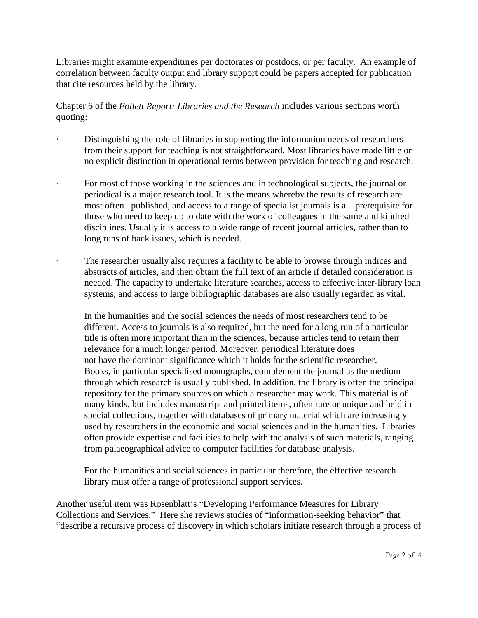Libraries might examine expenditures per doctorates or postdocs, or per faculty. An example of correlation between faculty output and library support could be papers accepted for publication that cite resources held by the library.

Chapter 6 of the *Follett Report: Libraries and the Research* includes various sections worth quoting:

- Distinguishing the role of libraries in supporting the information needs of researchers from their support for teaching is not straightforward. Most libraries have made little or no explicit distinction in operational terms between provision for teaching and research.
- For most of those working in the sciences and in technological subjects, the journal or periodical is a major research tool. It is the means whereby the results of research are most often published, and access to a range of specialist journals is a prerequisite for those who need to keep up to date with the work of colleagues in the same and kindred disciplines. Usually it is access to a wide range of recent journal articles, rather than to long runs of back issues, which is needed.
- ∙ The researcher usually also requires a facility to be able to browse through indices and abstracts of articles, and then obtain the full text of an article if detailed consideration is needed. The capacity to undertake literature searches, access to effective inter-library loan systems, and access to large bibliographic databases are also usually regarded as vital.
	- In the humanities and the social sciences the needs of most researchers tend to be different. Access to journals is also required, but the need for a long run of a particular title is often more important than in the sciences, because articles tend to retain their relevance for a much longer period. Moreover, periodical literature does not have the dominant significance which it holds for the scientific researcher. Books, in particular specialised monographs, complement the journal as the medium through which research is usually published. In addition, the library is often the principal repository for the primary sources on which a researcher may work. This material is of many kinds, but includes manuscript and printed items, often rare or unique and held in special collections, together with databases of primary material which are increasingly used by researchers in the economic and social sciences and in the humanities. Libraries often provide expertise and facilities to help with the analysis of such materials, ranging from palaeographical advice to computer facilities for database analysis.
		- ∙ For the humanities and social sciences in particular therefore, the effective research library must offer a range of professional support services.

Another useful item was Rosenblatt's "Developing Performance Measures for Library Collections and Services." Here she reviews studies of "information-seeking behavior" that "describe a recursive process of discovery in which scholars initiate research through a process of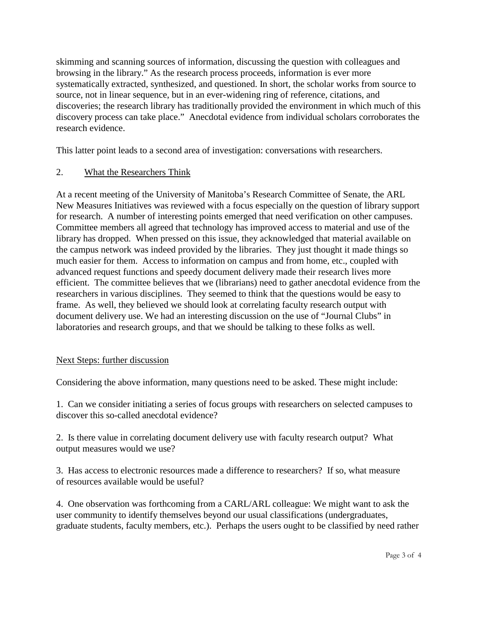skimming and scanning sources of information, discussing the question with colleagues and browsing in the library." As the research process proceeds, information is ever more systematically extracted, synthesized, and questioned. In short, the scholar works from source to source, not in linear sequence, but in an ever-widening ring of reference, citations, and discoveries; the research library has traditionally provided the environment in which much of this discovery process can take place." Anecdotal evidence from individual scholars corroborates the research evidence.

This latter point leads to a second area of investigation: conversations with researchers.

## 2. What the Researchers Think

At a recent meeting of the University of Manitoba's Research Committee of Senate, the ARL New Measures Initiatives was reviewed with a focus especially on the question of library support for research. A number of interesting points emerged that need verification on other campuses. Committee members all agreed that technology has improved access to material and use of the library has dropped. When pressed on this issue, they acknowledged that material available on the campus network was indeed provided by the libraries. They just thought it made things so much easier for them. Access to information on campus and from home, etc., coupled with advanced request functions and speedy document delivery made their research lives more efficient. The committee believes that we (librarians) need to gather anecdotal evidence from the researchers in various disciplines. They seemed to think that the questions would be easy to frame. As well, they believed we should look at correlating faculty research output with document delivery use. We had an interesting discussion on the use of "Journal Clubs" in laboratories and research groups, and that we should be talking to these folks as well.

## Next Steps: further discussion

Considering the above information, many questions need to be asked. These might include:

1. Can we consider initiating a series of focus groups with researchers on selected campuses to discover this so-called anecdotal evidence?

2. Is there value in correlating document delivery use with faculty research output? What output measures would we use?

3. Has access to electronic resources made a difference to researchers? If so, what measure of resources available would be useful?

4. One observation was forthcoming from a CARL/ARL colleague: We might want to ask the user community to identify themselves beyond our usual classifications (undergraduates, graduate students, faculty members, etc.). Perhaps the users ought to be classified by need rather